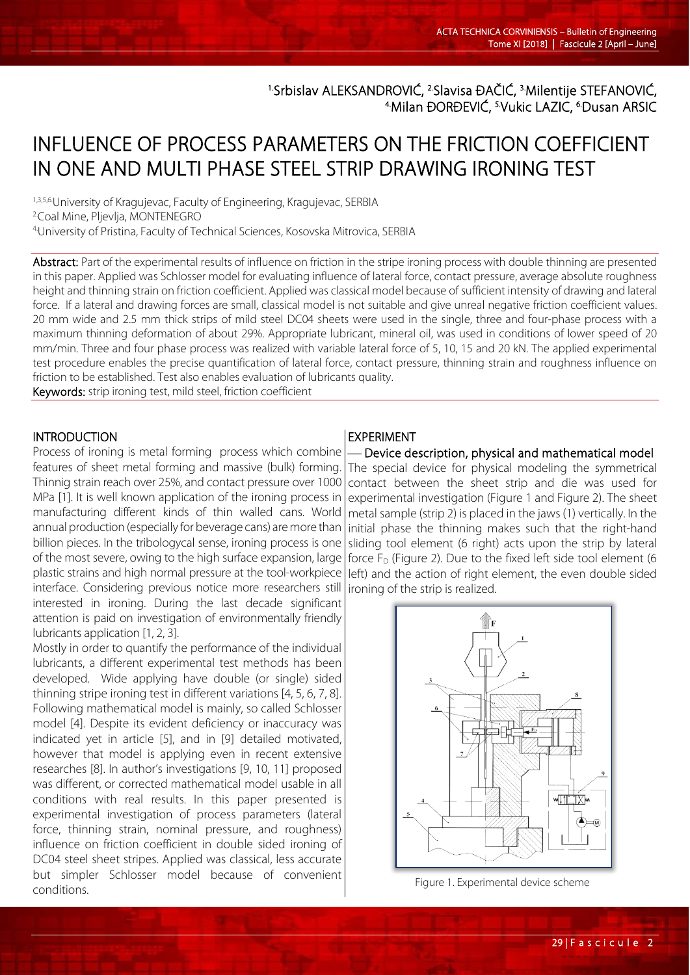<sup>1.</sup>Srbislav ALEKSANDROVIĆ, <sup>2.</sup>Slavisa ĐAČIĆ, <sup>3.</sup>Milentije STEFANOVIĆ,<br><sup>4</sup>.Milan ĐORĐEVIĆ, <sup>5.</sup>Vukic LAZIC, <sup>6</sup>.Dusan ARSIC

# INFLUENCE OF PROCESS PARAMETERS ON THE FRICTION COEFFICIENT IN ONE AND MULTI PHASE STEEL STRIP DRAWING IRONING TEST

1,3,5,6.University of Kragujevac, Faculty of Engineering, Kragujevac, SERBIA<br><sup>2</sup>Coal Mine, Pljevlja, MONTENEGRO 4.University of Pristina, Faculty of Technical Sciences, Kosovska Mitrovica, SERBIA

Abstract: Part of the experimental results of influence on friction in the stripe ironing process with double thinning are presented in this paper. Applied was Schlosser model for evaluating influence of lateral force, contact pressure, average absolute roughness height and thinning strain on friction coefficient. Applied was classical model because of sufficient intensity of drawing and lateral force. If a lateral and drawing forces are small, classical model is not suitable and give unreal negative friction coefficient values. 20 mm wide and 2.5 mm thick strips of mild steel DC04 sheets were used in the single, three and four-phase process with a maximum thinning deformation of about 29%. Appropriate lubricant, mineral oil, was used in conditions of lower speed of 20 mm/min. Three and four phase process was realized with variable lateral force of 5, 10, 15 and 20 kN. The applied experimental test procedure enables the precise quantification of lateral force, contact pressure, thinning strain and roughness influence on friction to be established. Test also enables evaluation of lubricants quality.

Keywords: strip ironing test, mild steel, friction coefficient

### INTRODUCTION

L

Process of ironing is metal forming process which combine features of sheet metal forming and massive (bulk) forming. Thinnig strain reach over 25%, and contact pressure over 1000 MPa [1]. It is well known application of the ironing process in manufacturing different kinds of thin walled cans. World annual production (especially for beverage cans) are more than billion pieces. In the tribologycal sense, ironing process is one of the most severe, owing to the high surface expansion, large plastic strains and high normal pressure at the tool-workpiece interface. Considering previous notice more researchers still interested in ironing. During the last decade significant attention is paid on investigation of environmentally friendly lubricants application [1, 2, 3].

Mostly in order to quantify the performance of the individual lubricants, a different experimental test methods has been developed. Wide applying have double (or single) sided thinning stripe ironing test in different variations [4, 5, 6, 7, 8]. Following mathematical model is mainly, so called Schlosser model [4]. Despite its evident deficiency or inaccuracy was indicated yet in article [5], and in [9] detailed motivated, however that model is applying even in recent extensive researches [8]. In author's investigations [9, 10, 11] proposed was different, or corrected mathematical model usable in all conditions with real results. In this paper presented is experimental investigation of process parameters (lateral force, thinning strain, nominal pressure, and roughness) influence on friction coefficient in double sided ironing of DC04 steel sheet stripes. Applied was classical, less accurate but simpler Schlosser model because of convenient conditions.

#### EXPERIMENT

 Device description, physical and mathematical model The special device for physical modeling the symmetrical contact between the sheet strip and die was used for experimental investigation (Figure 1 and Figure 2). The sheet metal sample (strip 2) is placed in the jaws (1) vertically. In the initial phase the thinning makes such that the right-hand sliding tool element (6 right) acts upon the strip by lateral force  $F_D$  (Figure 2). Due to the fixed left side tool element (6 left) and the action of right element, the even double sided ironing of the strip is realized.



Figure 1. Experimental device scheme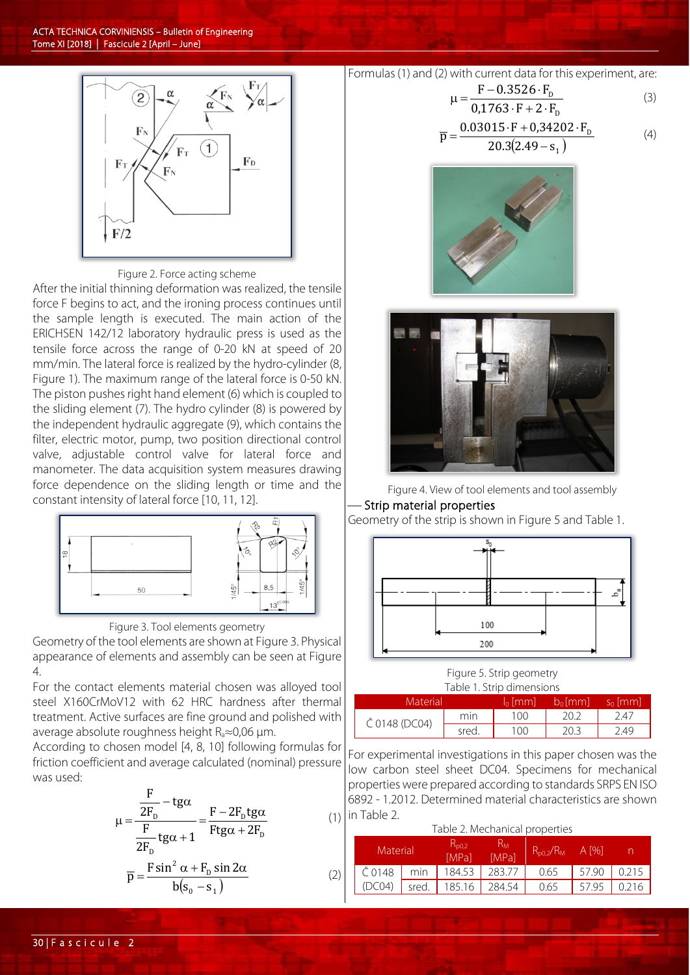

#### Figure 2. Force acting scheme

After the initial thinning deformation was realized, the tensile force F begins to act, and the ironing process continues until the sample length is executed. The main action of the ERICHSEN 142/12 laboratory hydraulic press is used as the tensile force across the range of 0-20 kN at speed of 20 mm/min. The lateral force is realized by the hydro-cylinder (8, Figure 1). The maximum range of the lateral force is 0-50 kN. The piston pushes right hand element (6) which is coupled to the sliding element (7). The hydro cylinder (8) is powered by the independent hydraulic aggregate (9), which contains the filter, electric motor, pump, two position directional control valve, adjustable control valve for lateral force and manometer. The data acquisition system measures drawing force dependence on the sliding length or time and the constant intensity of lateral force [10, 11, 12].



Figure 3. Tool elements geometry

Geometry of the tool elements are shown at Figure 3. Physical appearance of elements and assembly can be seen at Figure 4.

For the contact elements material chosen was alloyed tool steel X160CrMoV12 with 62 HRC hardness after thermal treatment. Active surfaces are fine ground and polished with average absolute roughness height Ra≈0,06 μm.

According to chosen model [4, 8, 10] following formulas for friction coefficient and average calculated (nominal) pressure was used:

$$
\mu = \frac{\frac{F}{2F_{D}} - t g \alpha}{\frac{F}{2F_{D}} t g \alpha + 1} = \frac{F - 2F_{D} t g \alpha}{F t g \alpha + 2F_{D}}
$$
(1)  

$$
\overline{p} = \frac{F \sin^{2} \alpha + F_{D} \sin 2\alpha}{b(s_{0} - s_{1})}
$$
(2)

Formulas (1) and (2) with current data for this experiment, are:

$$
\mu = \frac{F - 0.3526 \cdot F_{D}}{0.1763 \cdot F + 2 \cdot F_{D}}
$$
(3)

$$
\overline{p} = \frac{0.03015 \cdot F + 0.34202 \cdot F_{\text{D}}}{20.3(2.49 - s_{1})}
$$
(4)







#### Strip material properties

Geometry of the strip is shown in Figure 5 and Table 1.



Figure 5. Strip geometry Table 1. Strip dimensions

| TAME T. JUID UILIEI DIUTD |       |            |            |            |  |  |  |  |  |
|---------------------------|-------|------------|------------|------------|--|--|--|--|--|
| Material                  |       | $\ln$ [mm] | $b_0$ [mm] | $S_0$ [mm] |  |  |  |  |  |
| Č 0148 (DC04)             | min   | 100        |            | 2.47       |  |  |  |  |  |
|                           | sred. | 100        | 20.3       | 2.49       |  |  |  |  |  |

For experimental investigations in this paper chosen was the low carbon steel sheet DC04. Specimens for mechanical properties were prepared according to standards SRPS EN ISO 6892 - 1.2012. Determined material characteristics are shown  $(1)$  in Table 2.

#### Table 2. Mechanical properties

| Material |       | $\mathsf{K}_{\textsf{D}0.2}$<br>[MPa] | Ħм<br><b>IMPal</b> | $R_{p0,2}/R_{M}$ | A [%] |       |
|----------|-------|---------------------------------------|--------------------|------------------|-------|-------|
| Č 0148   | min   | 184.53                                | 283.77             | 0.65             | 57.90 | 0.215 |
| (DC04)   | sred. | 185.16                                | 284.54             | 0.65             | 57.95 | 0.216 |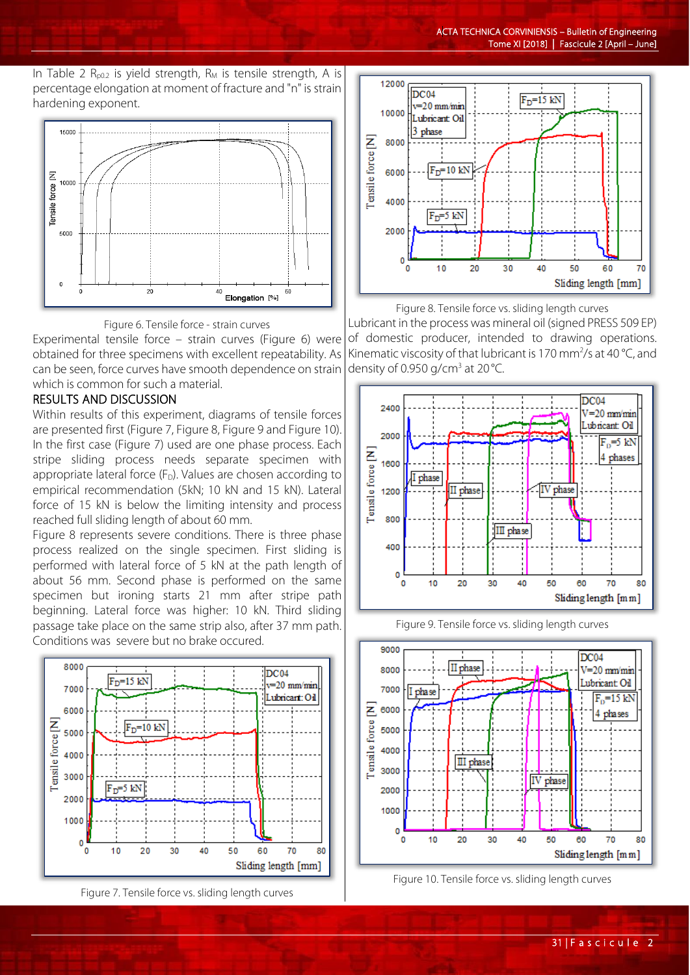In Table 2  $R_{p0.2}$  is yield strength,  $R_M$  is tensile strength, A is percentage elongation at moment of fracture and "n" is strain hardening exponent.





Experimental tensile force – strain curves (Figure 6) were obtained for three specimens with excellent repeatability. As can be seen, force curves have smooth dependence on strain which is common for such a material.

## RESULTS AND DISCUSSION

Within results of this experiment, diagrams of tensile forces are presented first (Figure 7, Figure 8, Figure 9 and Figure 10). In the first case (Figure 7) used are one phase process. Each stripe sliding process needs separate specimen with appropriate lateral force  $(F_D)$ . Values are chosen according to empirical recommendation (5kN; 10 kN and 15 kN). Lateral force of 15 kN is below the limiting intensity and process reached full sliding length of about 60 mm.

Figure 8 represents severe conditions. There is three phase process realized on the single specimen. First sliding is performed with lateral force of 5 kN at the path length of about 56 mm. Second phase is performed on the same specimen but ironing starts 21 mm after stripe path beginning. Lateral force was higher: 10 kN. Third sliding passage take place on the same strip also, after 37 mm path. Conditions was severe but no brake occured.







Figure 8. Tensile force vs. sliding length curves

Lubricant in the process was mineral oil (signed PRESS 509 EP) of domestic producer, intended to drawing operations. Kinematic viscosity of that lubricant is 170 mm<sup>2</sup>/s at 40 °C, and density of 0.950 g/cm<sup>3</sup> at 20 °C.







Figure 10. Tensile force vs. sliding length curves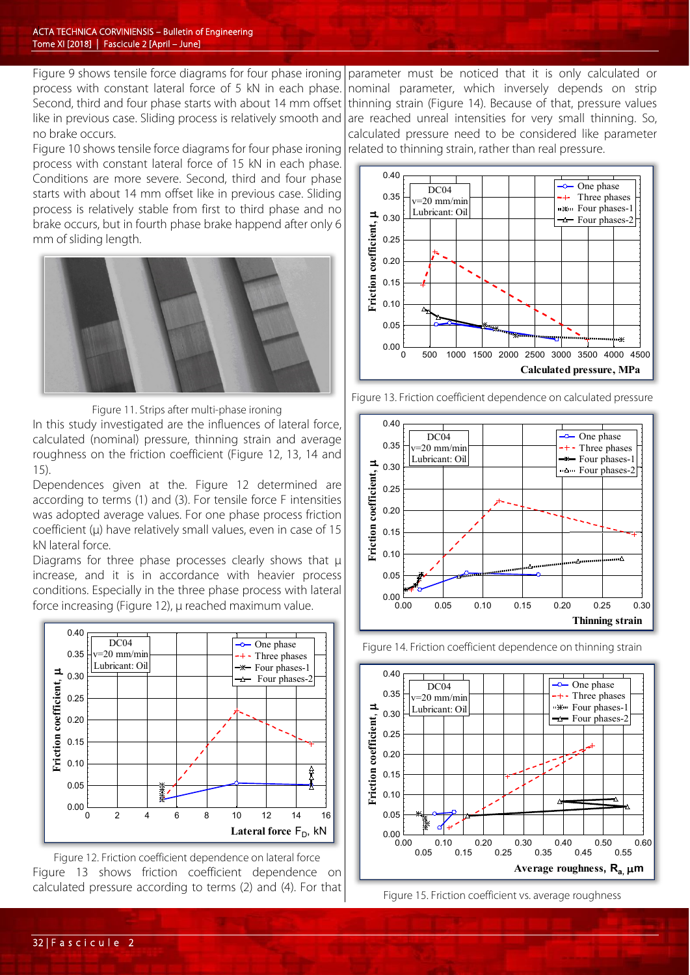Figure 9 shows tensile force diagrams for four phase ironing process with constant lateral force of 5 kN in each phase. Second, third and four phase starts with about 14 mm offset like in previous case. Sliding process is relatively smooth and no brake occurs.

Figure 10 shows tensile force diagrams for four phase ironing process with constant lateral force of 15 kN in each phase. Conditions are more severe. Second, third and four phase starts with about 14 mm offset like in previous case. Sliding process is relatively stable from first to third phase and no brake occurs, but in fourth phase brake happend after only 6 mm of sliding length.



Figure 11. Strips after multi-phase ironing

In this study investigated are the influences of lateral force, calculated (nominal) pressure, thinning strain and average roughness on the friction coefficient (Figure 12, 13, 14 and 15).

Dependences given at the. Figure 12 determined are according to terms (1) and (3). For tensile force F intensities was adopted average values. For one phase process friction coefficient (μ) have relatively small values, even in case of 15 kN lateral force.

Diagrams for three phase processes clearly shows that μ increase, and it is in accordance with heavier process conditions. Especially in the three phase process with lateral force increasing (Figure 12), μ reached maximum value.



Figure 12. Friction coefficient dependence on lateral force Figure 13 shows friction coefficient dependence on calculated pressure according to terms (2) and (4). For that

parameter must be noticed that it is only calculated or nominal parameter, which inversely depends on strip thinning strain (Figure 14). Because of that, pressure values are reached unreal intensities for very small thinning. So, calculated pressure need to be considered like parameter related to thinning strain, rather than real pressure.



Figure 13. Friction coefficient dependence on calculated pressure



Figure 14. Friction coefficient dependence on thinning strain



Figure 15. Friction coefficient vs. average roughness